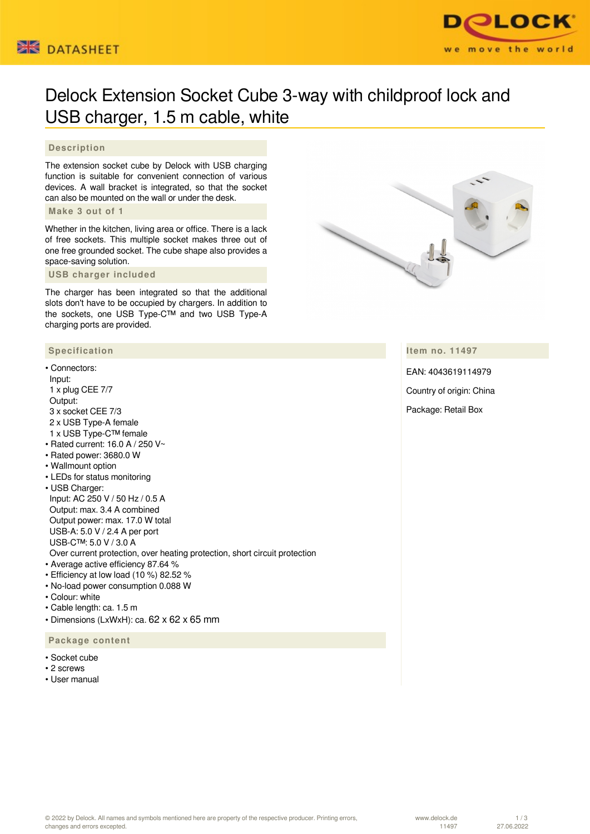



# Delock Extension Socket Cube 3-way with childproof lock and USB charger, 1.5 m cable, white

## **Description**

The extension socket cube by Delock with USB charging function is suitable for convenient connection of various devices. A wall bracket is integrated, so that the socket can also be mounted on the wall or under the desk.

### **Make 3 out of 1**

Whether in the kitchen, living area or office. There is a lack of free sockets. This multiple socket makes three out of one free grounded socket. The cube shape also provides a space-saving solution.

 **USB charger included**

The charger has been integrated so that the additional slots don't have to be occupied by chargers. In addition to the sockets, one USB Type-C™ and two USB Type-A charging ports are provided.

# **Specification**

## • Connectors:

- Input: 1 x plug CEE 7/7 Output: 3 x socket CEE 7/3 2 x USB Type-A female 1 x USB Type-C™ female • Rated current: 16.0 A / 250 V~
- Rated power: 3680.0 W
- Wallmount option
- LEDs for status monitoring
- USB Charger: Input: AC 250 V / 50 Hz / 0.5 A Output: max. 3.4 A combined Output power: max. 17.0 W total USB-A: 5.0 V / 2.4 A per port USB-C™: 5.0 V / 3.0 A
- Over current protection, over heating protection, short circuit protection
- Average active efficiency 87.64 %
- Efficiency at low load (10 %) 82.52 %
- No-load power consumption 0.088 W
- Colour: white
- Cable length: ca. 1.5 m
- Dimensions (LxWxH): ca. 62 x 62 x 65 mm

 **Package content**

- Socket cube
- 2 screws
- User manual



### **Item no. 11497**

EAN: 4043619114979 Country of origin: China Package: Retail Box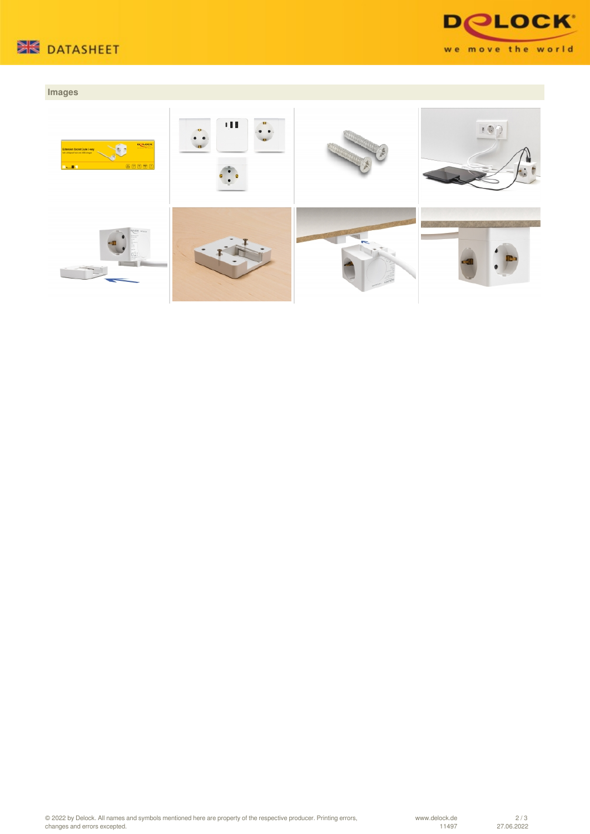